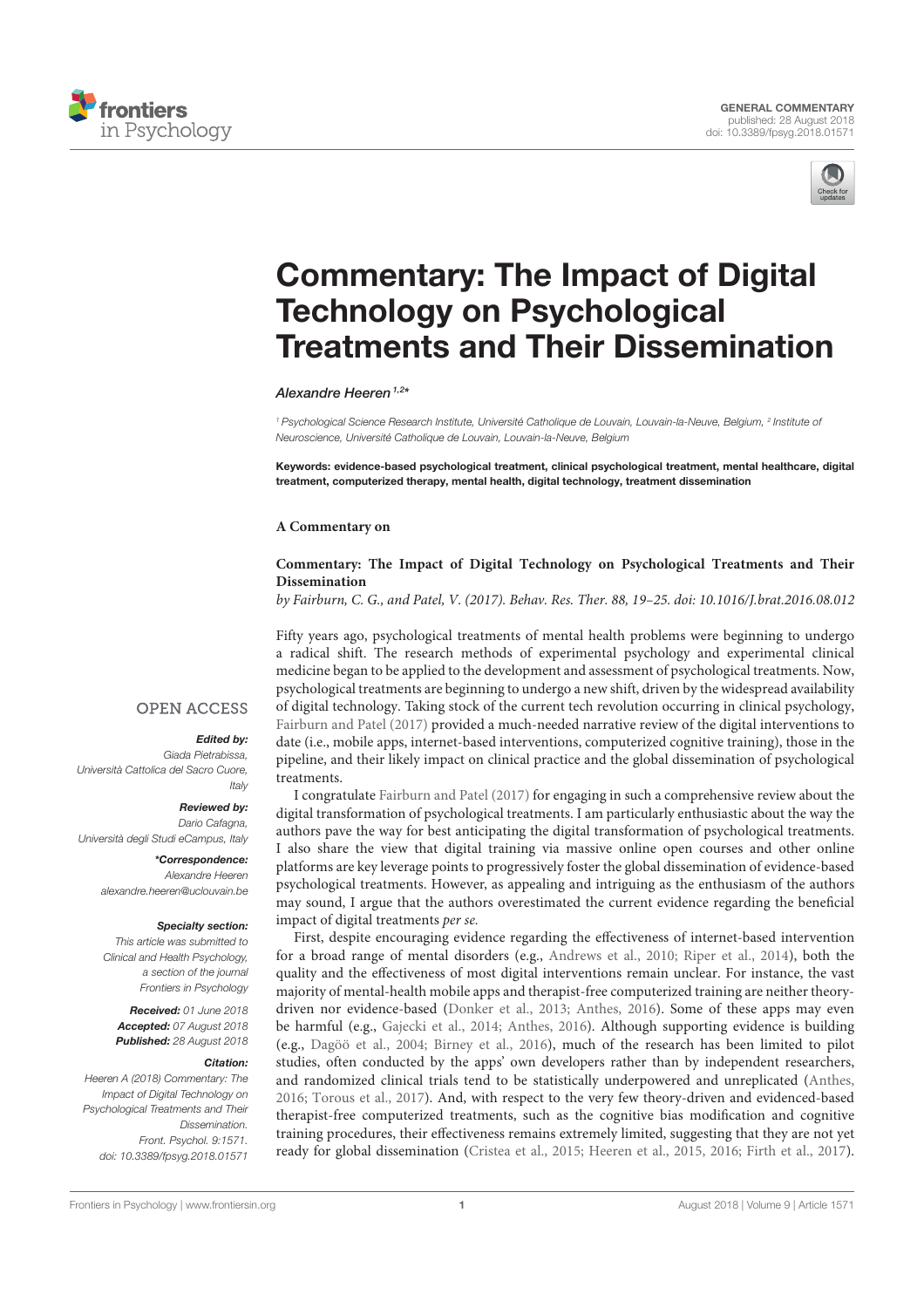



# Commentary: The Impact of Digital Technology on Psychological Treatments and Their Dissemination

#### Alexandre Heeren<sup> $1,2*$ </sup>

<sup>1</sup> Psychological Science Research Institute, Université Catholique de Louvain, Louvain-la-Neuve, Belgium, <sup>2</sup> Institute of Neuroscience, Université Catholique de Louvain, Louvain-la-Neuve, Belgium

Keywords: evidence-based psychological treatment, clinical psychological treatment, mental healthcare, digital treatment, computerized therapy, mental health, digital technology, treatment dissemination

#### **A Commentary on**

## **Commentary: The Impact of Digital Technology on Psychological Treatments and Their Dissemination**

by Fairburn, C. G., and Patel, V. (2017). Behav. Res. Ther. 88, 19–25. doi: 10.1016/J.brat.2016.08.012

Fifty years ago, psychological treatments of mental health problems were beginning to undergo a radical shift. The research methods of experimental psychology and experimental clinical medicine began to be applied to the development and assessment of psychological treatments. Now, psychological treatments are beginning to undergo a new shift, driven by the widespread availability of digital technology. Taking stock of the current tech revolution occurring in clinical psychology, Fairburn and Patel (2017) provided a much-needed narrative review of the digital interventions to date (i.e., mobile apps, internet-based interventions, computerized cognitive training), those in the pipeline, and their likely impact on clinical practice and the global dissemination of psychological treatments.

I congratulate Fairburn and Patel (2017) for engaging in such a comprehensive review about the digital transformation of psychological treatments. I am particularly enthusiastic about the way the authors pave the way for best anticipating the digital transformation of psychological treatments. I also share the view that digital training via massive online open courses and other online platforms are key leverage points to progressively foster the global dissemination of evidence-based psychological treatments. However, as appealing and intriguing as the enthusiasm of the authors may sound, I argue that the authors overestimated the current evidence regarding the beneficial impact of digital treatments per se.

First, despite encouraging evidence regarding the effectiveness of internet-based intervention for a broad range of mental disorders (e.g., Andrews et al., 2010; Riper et al., 2014), both the quality and the effectiveness of most digital interventions remain unclear. For instance, the vast majority of mental-health mobile apps and therapist-free computerized training are neither theorydriven nor evidence-based (Donker et al., 2013; Anthes, 2016). Some of these apps may even be harmful (e.g., Gajecki et al., 2014; Anthes, 2016). Although supporting evidence is building (e.g., Dagöö et al., 2004; Birney et al., 2016), much of the research has been limited to pilot studies, often conducted by the apps' own developers rather than by independent researchers, and randomized clinical trials tend to be statistically underpowered and unreplicated (Anthes, 2016; Torous et al., 2017). And, with respect to the very few theory-driven and evidenced-based therapist-free computerized treatments, such as the cognitive bias modification and cognitive training procedures, their effectiveness remains extremely limited, suggesting that they are not yet ready for global dissemination (Cristea et al., 2015; Heeren et al., 2015, 2016; Firth et al., 2017).

## **OPEN ACCESS**

### Edited by:

Giada Pietrabissa, Università Cattolica del Sacro Cuore, Italy

#### Reviewed by:

Dario Cafagna, Università degli Studi eCampus, Italy

> \*Correspondence: Alexandre Heeren alexandre.heeren@uclouvain.be

#### Specialty section:

This article was submitted to Clinical and Health Psychology, a section of the journal Frontiers in Psychology

Received: 01 June 2018 Accepted: 07 August 2018 Published: 28 August 2018

#### Citation:

Heeren A (2018) Commentary: The Impact of Digital Technology on Psychological Treatments and Their Dissemination. Front. Psychol. 9:1571. doi: 10.3389/fpsyg.2018.01571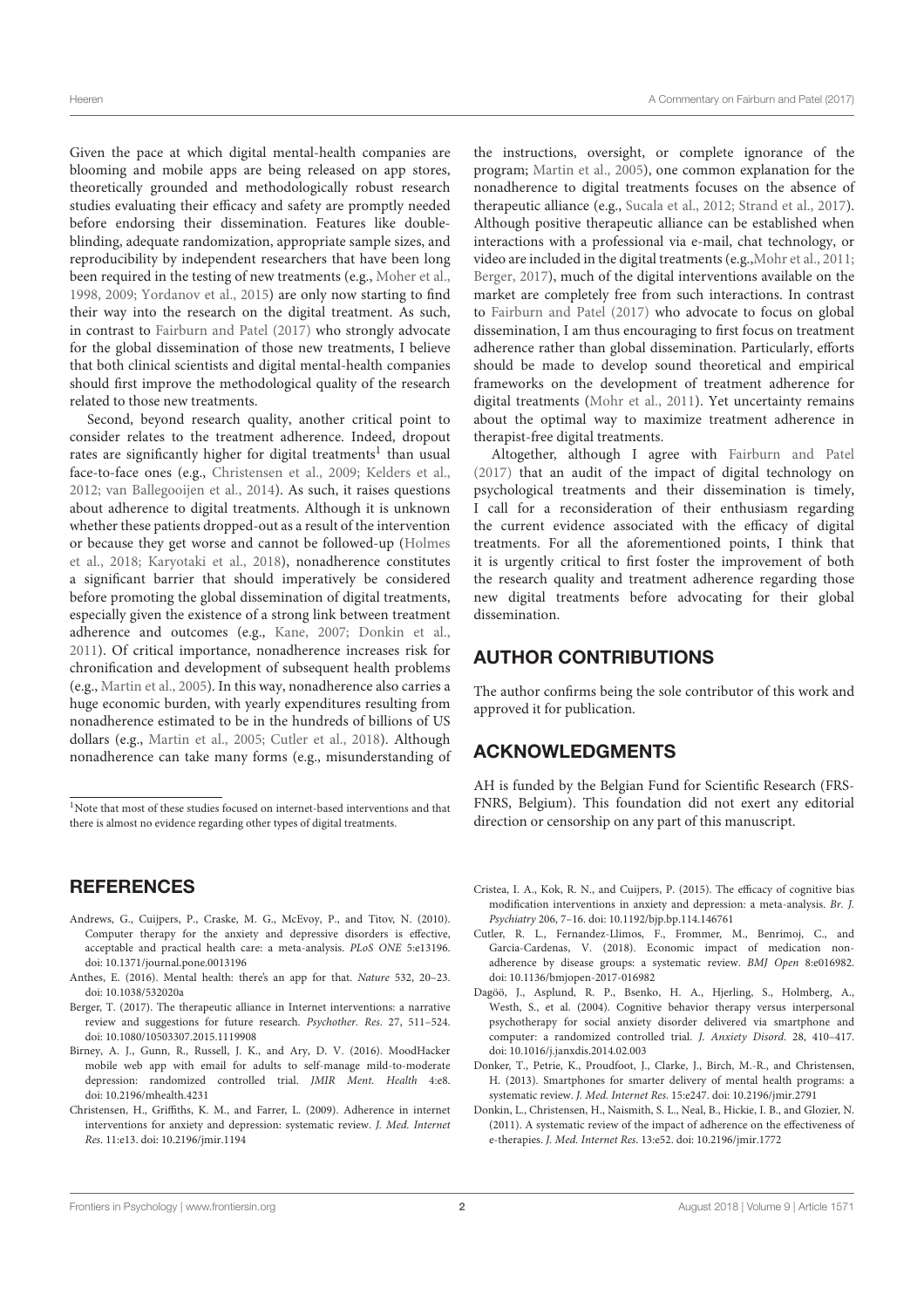Given the pace at which digital mental-health companies are blooming and mobile apps are being released on app stores, theoretically grounded and methodologically robust research studies evaluating their efficacy and safety are promptly needed before endorsing their dissemination. Features like doubleblinding, adequate randomization, appropriate sample sizes, and reproducibility by independent researchers that have been long been required in the testing of new treatments (e.g., Moher et al., 1998, 2009; Yordanov et al., 2015) are only now starting to find their way into the research on the digital treatment. As such, in contrast to Fairburn and Patel (2017) who strongly advocate for the global dissemination of those new treatments, I believe that both clinical scientists and digital mental-health companies should first improve the methodological quality of the research related to those new treatments.

Second, beyond research quality, another critical point to consider relates to the treatment adherence. Indeed, dropout rates are significantly higher for digital treatments<sup>1</sup> than usual face-to-face ones (e.g., Christensen et al., 2009; Kelders et al., 2012; van Ballegooijen et al., 2014). As such, it raises questions about adherence to digital treatments. Although it is unknown whether these patients dropped-out as a result of the intervention or because they get worse and cannot be followed-up (Holmes et al., 2018; Karyotaki et al., 2018), nonadherence constitutes a significant barrier that should imperatively be considered before promoting the global dissemination of digital treatments, especially given the existence of a strong link between treatment adherence and outcomes (e.g., Kane, 2007; Donkin et al., 2011). Of critical importance, nonadherence increases risk for chronification and development of subsequent health problems (e.g., Martin et al., 2005). In this way, nonadherence also carries a huge economic burden, with yearly expenditures resulting from nonadherence estimated to be in the hundreds of billions of US dollars (e.g., Martin et al., 2005; Cutler et al., 2018). Although nonadherence can take many forms (e.g., misunderstanding of

## **REFERENCES**

- Andrews, G., Cuijpers, P., Craske, M. G., McEvoy, P., and Titov, N. (2010). Computer therapy for the anxiety and depressive disorders is effective, acceptable and practical health care: a meta-analysis. PLoS ONE 5:e13196. doi: 10.1371/journal.pone.0013196
- Anthes, E. (2016). Mental health: there's an app for that. Nature 532, 20–23. doi: 10.1038/532020a
- Berger, T. (2017). The therapeutic alliance in Internet interventions: a narrative review and suggestions for future research. Psychother. Res. 27, 511–524. doi: 10.1080/10503307.2015.1119908
- Birney, A. J., Gunn, R., Russell, J. K., and Ary, D. V. (2016). MoodHacker mobile web app with email for adults to self-manage mild-to-moderate depression: randomized controlled trial. JMIR Ment. Health 4:e8. doi: 10.2196/mhealth.4231
- Christensen, H., Griffiths, K. M., and Farrer, L. (2009). Adherence in internet interventions for anxiety and depression: systematic review. J. Med. Internet Res. 11:e13. doi: 10.2196/jmir.1194

the instructions, oversight, or complete ignorance of the program; Martin et al., 2005), one common explanation for the nonadherence to digital treatments focuses on the absence of therapeutic alliance (e.g., Sucala et al., 2012; Strand et al., 2017). Although positive therapeutic alliance can be established when interactions with a professional via e-mail, chat technology, or video are included in the digital treatments (e.g.,Mohr et al., 2011; Berger, 2017), much of the digital interventions available on the market are completely free from such interactions. In contrast to Fairburn and Patel (2017) who advocate to focus on global dissemination, I am thus encouraging to first focus on treatment adherence rather than global dissemination. Particularly, efforts should be made to develop sound theoretical and empirical frameworks on the development of treatment adherence for digital treatments (Mohr et al., 2011). Yet uncertainty remains about the optimal way to maximize treatment adherence in therapist-free digital treatments.

Altogether, although I agree with Fairburn and Patel (2017) that an audit of the impact of digital technology on psychological treatments and their dissemination is timely, I call for a reconsideration of their enthusiasm regarding the current evidence associated with the efficacy of digital treatments. For all the aforementioned points, I think that it is urgently critical to first foster the improvement of both the research quality and treatment adherence regarding those new digital treatments before advocating for their global dissemination.

# AUTHOR CONTRIBUTIONS

The author confirms being the sole contributor of this work and approved it for publication.

## ACKNOWLEDGMENTS

AH is funded by the Belgian Fund for Scientific Research (FRS-FNRS, Belgium). This foundation did not exert any editorial direction or censorship on any part of this manuscript.

- Cristea, I. A., Kok, R. N., and Cuijpers, P. (2015). The efficacy of cognitive bias modification interventions in anxiety and depression: a meta-analysis. Br. J. Psychiatry 206, 7–16. doi: 10.1192/bjp.bp.114.146761
- Cutler, R. L., Fernandez-Llimos, F., Frommer, M., Benrimoj, C., and Garcia-Cardenas, V. (2018). Economic impact of medication nonadherence by disease groups: a systematic review. BMJ Open 8:e016982. doi: 10.1136/bmjopen-2017-016982
- Dagöö, J., Asplund, R. P., Bsenko, H. A., Hjerling, S., Holmberg, A., Westh, S., et al. (2004). Cognitive behavior therapy versus interpersonal psychotherapy for social anxiety disorder delivered via smartphone and computer: a randomized controlled trial. J. Anxiety Disord. 28, 410–417. doi: 10.1016/j.janxdis.2014.02.003
- Donker, T., Petrie, K., Proudfoot, J., Clarke, J., Birch, M.-R., and Christensen, H. (2013). Smartphones for smarter delivery of mental health programs: a systematic review. J. Med. Internet Res. 15:e247. doi: 10.2196/jmir.2791
- Donkin, L., Christensen, H., Naismith, S. L., Neal, B., Hickie, I. B., and Glozier, N. (2011). A systematic review of the impact of adherence on the effectiveness of e-therapies. J. Med. Internet Res. 13:e52. doi: 10.2196/jmir.1772

<sup>&</sup>lt;sup>1</sup>Note that most of these studies focused on internet-based interventions and that there is almost no evidence regarding other types of digital treatments.

Frontiers in Psychology | www.frontiersin.org 2 2 August 2018 | Volume 9 | Article 1571